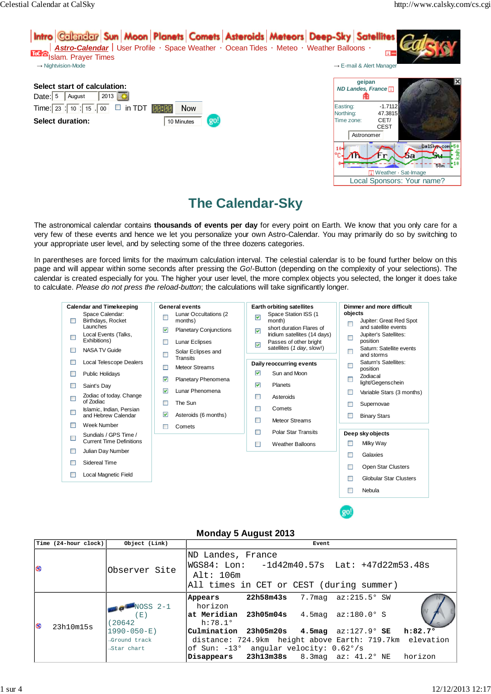

# **The Calendar-Sky**

The astronomical calendar contains **thousands of events per day** for every point on Earth. We know that you only care for a very few of these events and hence we let you personalize your own Astro-Calendar. You may primarily do so by switching to your appropriate user level, and by selecting some of the three dozens categories.

In parentheses are forced limits for the maximum calculation interval. The celestial calendar is to be found further below on this page and will appear within some seconds after pressing the Go!-Button (depending on the complexity of your selections). The calendar is created especially for you. The higher your user level, the more complex objects you selected, the longer it does take to calculate. Please do not press the reload-button; the calculations will take significantly longer.



## **Monday 5 August 2013**

|           | Time (24-hour clock) | Object (Link)                | Event                                                                                                                         |  |  |  |  |  |
|-----------|----------------------|------------------------------|-------------------------------------------------------------------------------------------------------------------------------|--|--|--|--|--|
| <b>SS</b> |                      | Observer Site                | ND Landes, France<br> WGS84: Lon:   -1d42m40.57s  Lat: +47d22m53.48s<br>Alt: 106m<br>All times in CET or CEST (during summer) |  |  |  |  |  |
| G)        | 23h10m15s            | $NOSS 2-1$<br>(E)<br>(20642) | $22h58m43s$ 7.7maq az:215.5° SW<br>Appears<br>horizon<br>$ $ at Meridian 23h05m04s 4.5maq az:180.0°S<br>h:78.1°               |  |  |  |  |  |
|           |                      | $1990 - 050 - E$             | $\text{Culmination}$ 23h05m20s 4.5mag az:127.9°SE h:82.7°                                                                     |  |  |  |  |  |
|           |                      | →Ground track                | distance: 724.9km height above Earth: 719.7km elevation                                                                       |  |  |  |  |  |
|           |                      | →Star chart                  | of Sun: $-13^{\circ}$ angular velocity: $0.62^{\circ}/s$                                                                      |  |  |  |  |  |
|           |                      |                              | Disappears $23h13m38s$ 8.3maq az: $41.2°$ NE horizon                                                                          |  |  |  |  |  |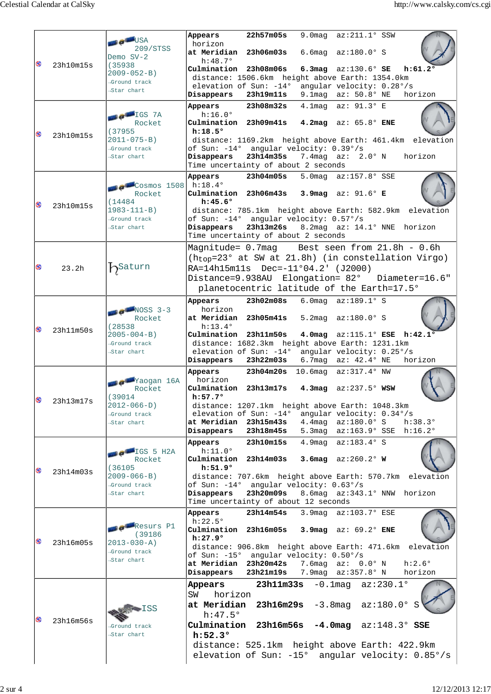|    |                   | <b>TE OF BUSA</b><br>209/STSS<br>Demo $SV-2$                                                          | 22h57m05s<br>9.0 mag $az:211.1°$ SSW<br>Appears<br>horizon<br>6.6mag $az:180.0°$ S<br>at Meridian 23h06m03s                                                                                                                                                  |
|----|-------------------|-------------------------------------------------------------------------------------------------------|--------------------------------------------------------------------------------------------------------------------------------------------------------------------------------------------------------------------------------------------------------------|
| ⊗  | 23h10m15s         | (35938)<br>$2009 - 052 - B$<br>→Ground track<br>Star chart                                            | $h:48.7^{\circ}$<br>Culmination 23h08m06s<br>6.3mag $az:130.6^{\circ}$ SE<br>h:61.2°<br>distance: 1506.6km height above Earth: 1354.0km<br>elevation of Sun: -14° angular velocity: 0.28°/s                                                                  |
|    |                   |                                                                                                       | Disappears<br>23h19m11s<br>9.1maq $az: 50.8^{\circ}$ NE<br>horizon                                                                                                                                                                                           |
|    | 23h10m15s         | <b>BELLET</b> IGS 7A<br>Rocket<br>(37955)<br>$2011 - 075 - B$<br>→Ground track<br>Star chart          | 23h08m32s<br>4.1mag az: 91.3° E<br>Appears<br>h:16.0°<br>Culmination 23h09m41s 4.2mag az: 65.8° ENE                                                                                                                                                          |
| ⊗  |                   |                                                                                                       | h:18.5°<br>distance: 1169.2km height above Earth: 461.4km elevation<br>of Sun: -14° angular velocity: 0.39°/s                                                                                                                                                |
|    |                   |                                                                                                       | 7.4mag $az: 2.0° N$<br>Disappears<br>23h14m35s<br>horizon<br>Time uncertainty of about 2 seconds                                                                                                                                                             |
|    |                   | $\sim 14$ Cosmos 1508 h:18.4°<br>Rocket<br>(14484)<br>$1983 - 111 - B$<br>→Ground track<br>Star chart | 23h04m05s<br>5.0mag az:157.8° SSE<br>Appears<br>Culmination 23h06m43s 3.9mag az: 91.6° E                                                                                                                                                                     |
| 69 | 23h10m15s         |                                                                                                       | $h:45.6^{\circ}$<br>distance: 785.1km height above Earth: 582.9km<br>elevation<br>of Sun: -14° angular velocity: 0.57°/s<br>23h13m26s 8.2mag az: 14.1° NNE horizon<br>Disappears<br>Time uncertainty of about 2 seconds                                      |
| ⊗  | 23.2 <sub>h</sub> | $b$ Saturn                                                                                            | Best seen from 21.8h - 0.6h<br>Magnitude= 0.7mag<br>$(h_{top}=23^{\circ}$ at SW at 21.8h) (in constellation Virgo)<br>RA=14h15m11s Dec=-11°04.2' (J2000)<br>Distance=9.938AU Elongation= 82°<br>Diameter=16.6"<br>planetocentric latitude of the Earth=17.5° |
|    |                   |                                                                                                       | 23h02m08s 6.0mag az:189.1° S<br>Appears                                                                                                                                                                                                                      |
| ⊗  | 23h11m50s         | $NOSS$ 3-3<br>Rocket<br>(28538)<br>$2005 - 004 - B$<br>→Ground track<br>Star chart                    | horizon<br>5.2mag az:180.0° S<br>at Meridian 23h05m41s<br>$h:13.4^{\circ}$<br>Culmination 23h11m50s<br>4.0mag az:115.1° ESE h:42.1°                                                                                                                          |
|    |                   |                                                                                                       | distance: 1682.3km height above Earth: 1231.1km<br>elevation of Sun: -14° angular velocity: 0.25°/s<br>Disappears<br>23h22m03s<br>6.7maq $az: 42.4^{\circ}$ NE<br>horizon                                                                                    |
|    |                   | <b>Colleg</b> Yaogan 16A<br>Rocket<br>(39014)                                                         | 23h04m20s 10.6mag az:317.4° NW<br>Appears<br>horizon<br>Culmination 23h13m17s 4.3mag az:237.5° WSW<br>$h:57.7^{\circ}$                                                                                                                                       |
| ⊗  | 23h13m17s         | $2012 - 066 - D$<br>→Ground track<br>Star chart                                                       | distance: 1207.1km height above Earth: 1048.3km<br>elevation of Sun: -14°<br>angular velocity: 0.34°/s<br>at Meridian 23h15m43s<br>4.4mag $az:180.0^{\circ} S$<br>$h:38.3^{\circ}$<br>5.3mag az:163.9° SSE h:16.2°<br>Disappears<br>23h18m45s                |
|    |                   |                                                                                                       | 4.9mag az:183.4° S<br>23h10m15s<br>Appears                                                                                                                                                                                                                   |
| 69 | 23h14m03s         | $IGS$ 5 H2A<br>Rocket<br>(36105<br>$2009 - 066 - B$<br>→Ground track<br>Star chart                    | h:11.0°<br>Culmination 23h14m03s<br>3.6 $maq$ az:260.2° W<br>h:51.9°                                                                                                                                                                                         |
|    |                   |                                                                                                       | distance: 707.6km height above Earth: 570.7km<br>elevation<br>of Sun: -14° angular velocity: 0.63°/s<br>23h20m09s<br>8.6mag az:343.1° NNW horizon<br>Disappears<br>Time uncertainty of about 12 seconds                                                      |
|    | 23h16m05s         | <b>BER</b> esurs P1<br>(39186)<br>$2013 - 030 - A$<br>→Ground track<br>Star chart                     | 23h14m54s<br>3.9mag az:103.7° ESE<br>Appears<br>$h:22.5^{\circ}$<br>Culmination 23h16m05s<br>$3.9mag$ az: $69.2°$ ENE<br>h:27.9°                                                                                                                             |
| 69 |                   |                                                                                                       | elevation<br>distance: 906.8km height above Earth: 471.6km<br>of Sun: -15° angular velocity: 0.50°/s<br>at Meridian 23h20m42s<br>$h:2.6^{\circ}$<br>7.6mag $az: 0.0^{\circ} N$<br>23h21m19s<br>7.9mag az:357.8° N<br>Disappears<br>horizon                   |
| ⊗  | 23h16m56s         | TSS<br>⊣Ground track<br>Star chart                                                                    | $23h11m33s -0.1mag$ $az:230.1°$<br>Appears<br>horizon<br>SW<br>at Meridian $23h16m29s -3.8mag$ $az:180.0°$ S<br>$h:47.5^{\circ}$                                                                                                                             |
|    |                   |                                                                                                       | Culmination $23h16m56s -4.0mag$ $az:148.3°$ SSE<br>h:52.3°<br>distance: 525.1km height above Earth: 422.9km<br>elevation of Sun: -15° angular velocity: 0.85°/s                                                                                              |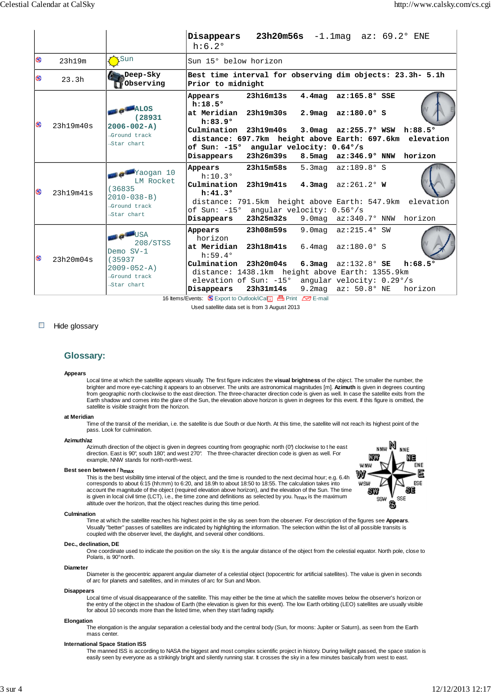|     |           |                                                                                                              | Disappears $23h20m56s$ -1.1maq az: $69.2^{\circ}$ ENE<br>$h:6.2^{\circ}$                                                                                     |                        |  |                                                                                            |  |                             |  |  |
|-----|-----------|--------------------------------------------------------------------------------------------------------------|--------------------------------------------------------------------------------------------------------------------------------------------------------------|------------------------|--|--------------------------------------------------------------------------------------------|--|-----------------------------|--|--|
| Ø3  | 23h19m    | LSun                                                                                                         | Sun 15° below horizon                                                                                                                                        |                        |  |                                                                                            |  |                             |  |  |
| လေ  | 23.3h     | Deep-Sky<br><b>Observing</b>                                                                                 | Best time interval for observing dim objects: 23.3h- 5.1h<br>Prior to midnight                                                                               |                        |  |                                                                                            |  |                             |  |  |
| GS) | 23h19m40s | $M_{\rm ALOS}$<br>(28931<br>$2006 - 002 - A$<br>→Ground track<br>→Star chart                                 | Appears<br>h:18.5°<br>at Meridian 23h19m30s<br>h:83.9°<br>Culmination 23h19m40s                                                                              | 23h16m13s              |  | $4.4$ mag az: $165.8^\circ$ SSE<br>$2.9 mag$ $az:180.0°$ S<br>3.0mag az:255.7° WSW h:88.5° |  |                             |  |  |
|     |           |                                                                                                              | distance: 697.7km height above Earth: 697.6km elevation<br>of Sun: -15° angular velocity: 0.64°/s<br>Disappears<br>23h26m39s<br>8.5mag az:346.9° NNW horizon |                        |  |                                                                                            |  |                             |  |  |
| ၜ   | 23h19m41s | <b>Te<sup>llin</sup>Yaogan</b> 10<br>LM Rocket<br>(36835)<br>$2010 - 038 - B$<br>⊸Ground track<br>Star chart | Appears<br>h:10.3°<br>Culmination 23h19m41s 4.3mag az:261.2° W<br>h:41.3°                                                                                    | 23h15m58s              |  | 5.3 mag $az:189.8° S$                                                                      |  |                             |  |  |
|     |           |                                                                                                              | distance: 791.5km height above Earth: 547.9km elevation<br>of Sun: $-15^{\circ}$ angular velocity: $0.56^{\circ}/s$<br>Disappears                            | 23h25m32s              |  | 9.0 mag $az:340.7°$ NNW                                                                    |  | horizon                     |  |  |
| GS) | 23h20m04s | <b>OF BUSA</b><br>208/STSS<br>Demo $SV-1$<br>(35937)<br>$2009 - 052 - A$<br>→Ground track<br>Star chart      | Appears<br>horizon<br>at Meridian<br>h:59.4°                                                                                                                 | 23h08m59s<br>23h18m41s |  | 9.0 mag $az:215.4^\circ$ SW<br>6.4mag $az:180.0^{\circ} S$                                 |  |                             |  |  |
|     |           |                                                                                                              | Culmination 23h20m04s<br>distance: 1438.1km height above Earth: 1355.9km<br>elevation of Sun: $-15^{\circ}$ angular velocity: $0.29^{\circ}/s$<br>Disappears | 23h31m14s              |  | 6.3mag $az:132.8^{\circ}$ SE<br>9.2maq $az: 50.8^{\circ}$ NE                               |  | $h:68.5^{\circ}$<br>horizon |  |  |

16 Items/Events: Sexport to Outlook/iCal Print C-B E-mail Used satellite data set is from 3 August 2013

#### $\overline{\phantom{a}}$ Hide glossary

### **Glossary:**

#### **Appears**

Local time at which the satellite appears visually. The first figure indicates the **visual brightness** of the object. The smaller the number, the brighter and more eye-catching it appears to an observer. The units are astronomical magnitudes [m]. **Azimuth** is given in degrees counting from geographic north clockwise to the east direction. The three-character direction code is given as well. In case the satellite exits from the Earth shadow and comes into the glare of the Sun, the elevation above horizon is given in degrees for this event. If this figure is omitted, the satellite is visible straight from the horizon.

#### **at Meridian**

Time of the transit of the meridian, i.e. the satellite is due South or due North. At this time, the satellite will not reach its highest point of the pass. Look for culmination.

#### **Azimuth/az**

Azimuth direction of the object is given in degrees counting from geographic north (0°) clockwise to t he east<br>direction. East is 90°, south 180°, and west 270°. The three-character direction code is given as well. For example, NNW stands for north-north-west.

#### **Best seen between / hmax**

This is the best visibility time interval of the object, and the time is rounded to the next decimal hour; e.g. 6.4h corresponds to about 6:15 (hh:mm) to 6:20, and 18.9h to about 18:50 to 18:55. The calculation takes into account the magnitude of the object (required elevation above horizon), and the elevation of the Sun. The time is given in local civil time (LCT), i.e., the time zone and definitions as selected by you. h<sub>max</sub> is the maximum altitude over the horizon, that the object reaches during this time period.



#### **Culmination**

Time at which the satellite reaches his highest point in the sky as seen from the observer. For description of the figures see **Appears**. Visually "better" passes of satellites are indicated by highlighting the information. The selection within the list of all possible transits is coupled with the observer level, the daylight, and several other conditions.

#### **Dec., declination, DE**

One coordinate used to indicate the position on the sky. It is the angular distance of the object from the celestial equator. North pole, close to Polaris, is 90° north.

#### **Diameter**

Diameter is the geocentric apparent angular diameter of a celestial object (topocentric for artificial satellites). The value is given in seconds of arc for planets and satellites, and in minutes of arc for Sun and Moon.

#### **Disappears**

Local time of visual disappearance of the satellite. This may either be the time at which the satellite moves below the observer's horizon or<br>the entry of the object in the shadow of Earth (the elevation is given for this for about 10 seconds more than the listed time, when they start fading rapidly.

#### **Elongation**

The elongation is the angular separation a celestial body and the central body (Sun, for moons: Jupiter or Saturn), as seen from the Earth mass center.

#### **International Space Station ISS**

The manned ISS is according to NASA the biggest and most complex scientific project in history. During twilight passed, the space station is<br>easily seen by everyone as a strikingly bright and silently running star. It cros